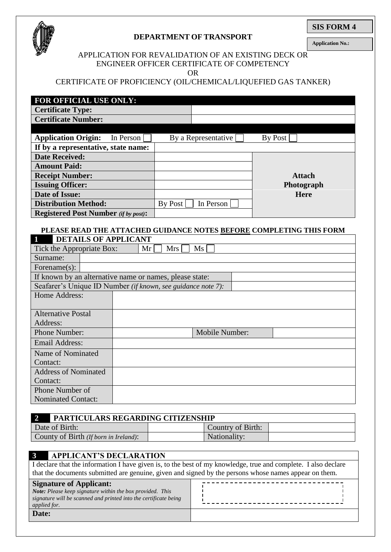

# **DEPARTMENT OF TRANSPORT**

**SIS FORM 4**

**Application No.:**

#### APPLICATION FOR REVALIDATION OF AN EXISTING DECK OR ENGINEER OFFICER CERTIFICATE OF COMPETENCY

OR

# CERTIFICATE OF PROFICIENCY (OIL/CHEMICAL/LIQUEFIED GAS TANKER)

| FOR OFFICIAL USE ONLY:                      |         |                     |               |
|---------------------------------------------|---------|---------------------|---------------|
| <b>Certificate Type:</b>                    |         |                     |               |
| <b>Certificate Number:</b>                  |         |                     |               |
|                                             |         |                     |               |
| <b>Application Origin:</b><br>In Person     |         | By a Representative | By Post       |
| If by a representative, state name:         |         |                     |               |
| <b>Date Received:</b>                       |         |                     |               |
| <b>Amount Paid:</b>                         |         |                     |               |
| <b>Receipt Number:</b>                      |         |                     | <b>Attach</b> |
| <b>Issuing Officer:</b>                     |         |                     | Photograph    |
| Date of Issue:                              |         |                     | <b>Here</b>   |
| <b>Distribution Method:</b>                 | By Post | In Person           |               |
| <b>Registered Post Number</b> (if by post): |         |                     |               |

#### **PLEASE READ THE ATTACHED GUIDANCE NOTES BEFORE COMPLETING THIS FORM DETAILS OF APPLICANT**

| $\mathbf{L}$ and $\mathbf{L}$                                | DETAILS OF ALLER ANT                                    |  |                 |     |  |  |    |  |                |
|--------------------------------------------------------------|---------------------------------------------------------|--|-----------------|-----|--|--|----|--|----------------|
| Tick the Appropriate Box:                                    |                                                         |  | Mr <sub>l</sub> | Mrs |  |  | Ms |  |                |
| Surname:                                                     |                                                         |  |                 |     |  |  |    |  |                |
| Forename $(s)$ :                                             |                                                         |  |                 |     |  |  |    |  |                |
|                                                              | If known by an alternative name or names, please state: |  |                 |     |  |  |    |  |                |
| Seafarer's Unique ID Number (if known, see guidance note 7): |                                                         |  |                 |     |  |  |    |  |                |
| Home Address:                                                |                                                         |  |                 |     |  |  |    |  |                |
|                                                              |                                                         |  |                 |     |  |  |    |  |                |
| <b>Alternative Postal</b>                                    |                                                         |  |                 |     |  |  |    |  |                |
| Address:                                                     |                                                         |  |                 |     |  |  |    |  |                |
| <b>Phone Number:</b>                                         |                                                         |  |                 |     |  |  |    |  | Mobile Number: |
| Email Address:                                               |                                                         |  |                 |     |  |  |    |  |                |
| Name of Nominated                                            |                                                         |  |                 |     |  |  |    |  |                |
| Contact:                                                     |                                                         |  |                 |     |  |  |    |  |                |
| <b>Address of Nominated</b>                                  |                                                         |  |                 |     |  |  |    |  |                |
| Contact:                                                     |                                                         |  |                 |     |  |  |    |  |                |
| Phone Number of                                              |                                                         |  |                 |     |  |  |    |  |                |
| <b>Nominated Contact:</b>                                    |                                                         |  |                 |     |  |  |    |  |                |

| PARTICULARS REGARDING CITIZENSHIP     |                   |  |  |  |  |
|---------------------------------------|-------------------|--|--|--|--|
| Date of Birth:                        | Country of Birth: |  |  |  |  |
| County of Birth (If born in Ireland): | Nationality:      |  |  |  |  |

#### **3 APPLICANT'S DECLARATION**  I declare that the information I have given is, to the best of my knowledge, true and complete. I also declare that the documents submitted are genuine, given and signed by the persons whose names appear on them. --------------------------------**Signature of Applicant:** *Note: Please keep signature within the box provided. This signature will be scanned and printed into the certificate being applied for.* **Date:**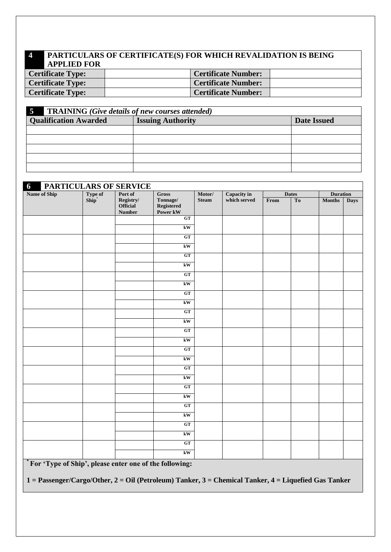# **4 PARTICULARS OF CERTIFICATE(S) FOR WHICH REVALIDATION IS BEING APPLIED FOR**

| <b>Certificate Type:</b> | <b>Certificate Number:</b> |  |
|--------------------------|----------------------------|--|
| <b>Certificate Type:</b> | <b>Certificate Number:</b> |  |
| <b>Certificate Type:</b> | <b>Certificate Number:</b> |  |

| $\overline{5}$<br><b>TRAINING</b> (Give details of new courses attended) |                          |                    |  |  |  |  |  |
|--------------------------------------------------------------------------|--------------------------|--------------------|--|--|--|--|--|
| <b>Qualification Awarded</b>                                             | <b>Issuing Authority</b> | <b>Date Issued</b> |  |  |  |  |  |
|                                                                          |                          |                    |  |  |  |  |  |
|                                                                          |                          |                    |  |  |  |  |  |
|                                                                          |                          |                    |  |  |  |  |  |
|                                                                          |                          |                    |  |  |  |  |  |
|                                                                          |                          |                    |  |  |  |  |  |

| PARTICULARS OF SERVICE<br>$\boldsymbol{6}$ |                  |                                        |                                              |              |                    |      |              |                 |             |
|--------------------------------------------|------------------|----------------------------------------|----------------------------------------------|--------------|--------------------|------|--------------|-----------------|-------------|
| Name of Ship                               | Type of<br>Ship* | Port of                                | <b>Gross</b>                                 | Motor/       | <b>Capacity</b> in |      | <b>Dates</b> | <b>Duration</b> |             |
|                                            |                  | Registry/<br>Official<br><b>Number</b> | Tonnage/<br>Registered<br>Power kW           | <b>Steam</b> | which served       | From | To           | <b>Months</b>   | <b>Days</b> |
|                                            |                  |                                        | GT                                           |              |                    |      |              |                 |             |
|                                            |                  |                                        | kW                                           |              |                    |      |              |                 |             |
|                                            |                  |                                        | GT                                           |              |                    |      |              |                 |             |
|                                            |                  |                                        | kW                                           |              |                    |      |              |                 |             |
|                                            |                  |                                        | GT                                           |              |                    |      |              |                 |             |
|                                            |                  |                                        | kW                                           |              |                    |      |              |                 |             |
|                                            |                  |                                        | GT                                           |              |                    |      |              |                 |             |
|                                            |                  |                                        | kW                                           |              |                    |      |              |                 |             |
|                                            |                  |                                        | GT                                           |              |                    |      |              |                 |             |
|                                            |                  |                                        | kW                                           |              |                    |      |              |                 |             |
|                                            |                  |                                        | GT                                           |              |                    |      |              |                 |             |
|                                            |                  |                                        | $\mathbf{k}\mathbf{W}$                       |              |                    |      |              |                 |             |
|                                            |                  |                                        | GT                                           |              |                    |      |              |                 |             |
|                                            |                  |                                        | kW                                           |              |                    |      |              |                 |             |
|                                            |                  |                                        | GT                                           |              |                    |      |              |                 |             |
|                                            |                  |                                        | kW                                           |              |                    |      |              |                 |             |
|                                            |                  |                                        | GT                                           |              |                    |      |              |                 |             |
|                                            |                  |                                        | $\mathbf{k}\mathbf{W}$                       |              |                    |      |              |                 |             |
|                                            |                  |                                        | GT                                           |              |                    |      |              |                 |             |
|                                            |                  |                                        | $\mathbf{k}\mathbf{W}$                       |              |                    |      |              |                 |             |
|                                            |                  |                                        | GT                                           |              |                    |      |              |                 |             |
|                                            |                  |                                        | kW                                           |              |                    |      |              |                 |             |
|                                            |                  |                                        | GT                                           |              |                    |      |              |                 |             |
|                                            |                  |                                        | $\mathbf{k}\mathbf{W}$                       |              |                    |      |              |                 |             |
|                                            |                  |                                        | GT                                           |              |                    |      |              |                 |             |
|                                            |                  |                                        | kW                                           |              |                    |      |              |                 |             |
| $*$ $\pi$ $\sigma$ $\sigma$ $\sigma$       |                  |                                        | $\theta$ and $\theta$ in $\theta$<br>$\cdot$ |              |                    |      |              |                 |             |

**\* For 'Type of Ship', please enter one of the following:**

**1 = Passenger/Cargo/Other, 2 = Oil (Petroleum) Tanker, 3 = Chemical Tanker, 4 = Liquefied Gas Tanker**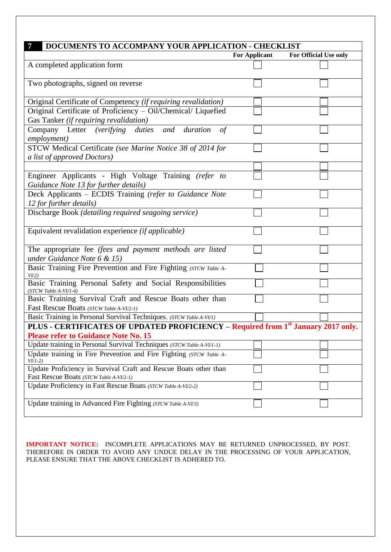| 7<br>DOCUMENTS TO ACCOMPANY YOUR APPLICATION - CHECKLIST                                                    |                      |                       |
|-------------------------------------------------------------------------------------------------------------|----------------------|-----------------------|
|                                                                                                             | <b>For Applicant</b> | For Official Use only |
| A completed application form                                                                                |                      |                       |
| Two photographs, signed on reverse                                                                          |                      |                       |
| Original Certificate of Competency (if requiring revalidation)                                              |                      |                       |
| Original Certificate of Proficiency - Oil/Chemical/ Liquefied<br>Gas Tanker (if requiring revalidation)     |                      |                       |
| Company Letter (verifying duties and duration<br>of<br>employment)                                          |                      |                       |
| STCW Medical Certificate (see Marine Notice 38 of 2014 for<br>a list of approved Doctors)                   |                      |                       |
|                                                                                                             |                      |                       |
| Engineer Applicants - High Voltage Training (refer to<br>Guidance Note 13 for further details)              |                      |                       |
| Deck Applicants - ECDIS Training (refer to Guidance Note<br>12 for further details)                         |                      |                       |
| Discharge Book (detailing required seagoing service)                                                        |                      |                       |
| Equivalent revalidation experience (if applicable)                                                          |                      |                       |
| The appropriate fee (fees and payment methods are listed<br>under Guidance Note 6 & 15)                     |                      |                       |
| Basic Training Fire Prevention and Fire Fighting (STCW Table A-<br>VI/2)                                    |                      |                       |
| Basic Training Personal Safety and Social Responsibilities<br>(STCW Table A-VI/1-4)                         |                      |                       |
| Basic Training Survival Craft and Rescue Boats other than<br>Fast Rescue Boats (STCW Table A-VI/2-1)        |                      |                       |
| Basic Training in Personal Survival Techniques, (STCW Table A-VI/1)                                         |                      |                       |
| PLUS - CERTIFICATES OF UPDATED PROFICIENCY – Required from 1 <sup>st</sup> January 2017 only.               |                      |                       |
| <b>Please refer to Guidance Note No. 15</b>                                                                 |                      |                       |
| Update training in Personal Survival Techniques (STCW Table A-VI/1-1)                                       |                      |                       |
| Update training in Fire Prevention and Fire Fighting (STCW Table A-<br>$VI/1-2)$                            |                      |                       |
| Update Proficiency in Survival Craft and Rescue Boats other than<br>Fast Rescue Boats (STCW Table A-VI/2-1) |                      |                       |
| Update Proficiency in Fast Rescue Boats (STCW Table A-VI/2-2)                                               |                      |                       |
| Update training in Advanced Fire Fighting (STCW Table A-VI/3)                                               |                      |                       |

**IMPORTANT NOTICE:** INCOMPLETE APPLICATIONS MAY BE RETURNED UNPROCESSED, BY POST. THEREFORE IN ORDER TO AVOID ANY UNDUE DELAY IN THE PROCESSING OF YOUR APPLICATION, PLEASE ENSURE THAT THE ABOVE CHECKLIST IS ADHERED TO.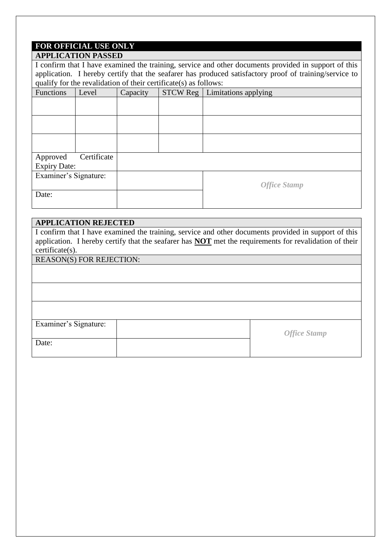# **FOR OFFICIAL USE ONLY**

| <b>APPLICATION PASSED</b>                                        |                                                                                                        |          |                     |                                        |  |  |  |  |
|------------------------------------------------------------------|--------------------------------------------------------------------------------------------------------|----------|---------------------|----------------------------------------|--|--|--|--|
|                                                                  | I confirm that I have examined the training, service and other documents provided in support of this   |          |                     |                                        |  |  |  |  |
|                                                                  | application. I hereby certify that the seafarer has produced satisfactory proof of training/service to |          |                     |                                        |  |  |  |  |
| qualify for the revalidation of their certificate(s) as follows: |                                                                                                        |          |                     |                                        |  |  |  |  |
| <b>Functions</b>                                                 | Level                                                                                                  | Capacity |                     | <b>STCW Reg</b>   Limitations applying |  |  |  |  |
|                                                                  |                                                                                                        |          |                     |                                        |  |  |  |  |
|                                                                  |                                                                                                        |          |                     |                                        |  |  |  |  |
|                                                                  |                                                                                                        |          |                     |                                        |  |  |  |  |
|                                                                  |                                                                                                        |          |                     |                                        |  |  |  |  |
|                                                                  |                                                                                                        |          |                     |                                        |  |  |  |  |
|                                                                  |                                                                                                        |          |                     |                                        |  |  |  |  |
| Approved                                                         | Certificate                                                                                            |          |                     |                                        |  |  |  |  |
| <b>Expiry Date:</b>                                              |                                                                                                        |          |                     |                                        |  |  |  |  |
|                                                                  | Examiner's Signature:                                                                                  |          |                     |                                        |  |  |  |  |
|                                                                  |                                                                                                        |          | <b>Office Stamp</b> |                                        |  |  |  |  |
| Date:                                                            |                                                                                                        |          |                     |                                        |  |  |  |  |
|                                                                  |                                                                                                        |          |                     |                                        |  |  |  |  |

# **APPLICATION REJECTED**

I confirm that I have examined the training, service and other documents provided in support of this application. I hereby certify that the seafarer has **NOT** met the requirements for revalidation of their certificate(s).

REASON(S) FOR REJECTION:

| Examiner's Signature: |                     |
|-----------------------|---------------------|
|                       | <b>Office Stamp</b> |
| Date:                 |                     |
|                       |                     |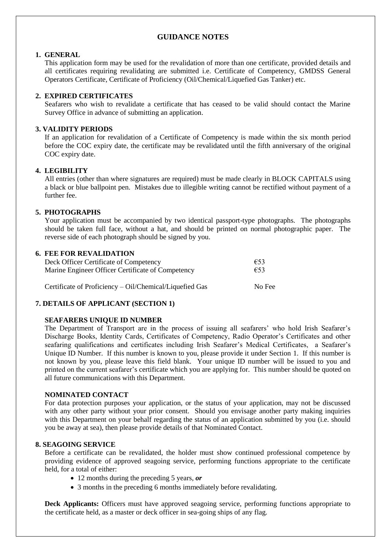# **GUIDANCE NOTES**

#### **1. GENERAL**

This application form may be used for the revalidation of more than one certificate, provided details and all certificates requiring revalidating are submitted i.e. Certificate of Competency, GMDSS General Operators Certificate, Certificate of Proficiency (Oil/Chemical/Liquefied Gas Tanker) etc.

## **2. EXPIRED CERTIFICATES**

Seafarers who wish to revalidate a certificate that has ceased to be valid should contact the Marine Survey Office in advance of submitting an application.

#### **3. VALIDITY PERIODS**

If an application for revalidation of a Certificate of Competency is made within the six month period before the COC expiry date, the certificate may be revalidated until the fifth anniversary of the original COC expiry date.

#### **4. LEGIBILITY**

All entries (other than where signatures are required) must be made clearly in BLOCK CAPITALS using a black or blue ballpoint pen. Mistakes due to illegible writing cannot be rectified without payment of a further fee.

## **5. PHOTOGRAPHS**

Your application must be accompanied by two identical passport-type photographs. The photographs should be taken full face, without a hat, and should be printed on normal photographic paper. The reverse side of each photograph should be signed by you.

#### **6. FEE FOR REVALIDATION**

| Deck Officer Certificate of Competency                  | €53    |
|---------------------------------------------------------|--------|
| Marine Engineer Officer Certificate of Competency       | $E$ 53 |
| Certificate of Proficiency – Oil/Chemical/Liquefied Gas | No Fee |

# **7. DETAILS OF APPLICANT (SECTION 1)**

#### **SEAFARERS UNIQUE ID NUMBER**

The Department of Transport are in the process of issuing all seafarers' who hold Irish Seafarer's Discharge Books, Identity Cards, Certificates of Competency, Radio Operator's Certificates and other seafaring qualifications and certificates including Irish Seafarer's Medical Certificates, a Seafarer's Unique ID Number. If this number is known to you, please provide it under Section 1. If this number is not known by you, please leave this field blank. Your unique ID number will be issued to you and printed on the current seafarer's certificate which you are applying for. This number should be quoted on all future communications with this Department.

#### **NOMINATED CONTACT**

For data protection purposes your application, or the status of your application, may not be discussed with any other party without your prior consent. Should you envisage another party making inquiries with this Department on your behalf regarding the status of an application submitted by you (i.e. should you be away at sea), then please provide details of that Nominated Contact.

#### **8. SEAGOING SERVICE**

Before a certificate can be revalidated, the holder must show continued professional competence by providing evidence of approved seagoing service, performing functions appropriate to the certificate held, for a total of either:

- 12 months during the preceding 5 years, *or*
- 3 months in the preceding 6 months immediately before revalidating.

**Deck Applicants:** Officers must have approved seagoing service, performing functions appropriate to the certificate held, as a master or deck officer in sea-going ships of any flag.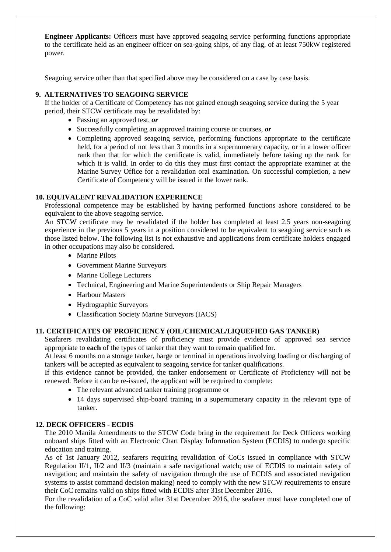**Engineer Applicants:** Officers must have approved seagoing service performing functions appropriate to the certificate held as an engineer officer on sea-going ships, of any flag, of at least 750kW registered power.

Seagoing service other than that specified above may be considered on a case by case basis.

# **9. ALTERNATIVES TO SEAGOING SERVICE**

If the holder of a Certificate of Competency has not gained enough seagoing service during the 5 year period, their STCW certificate may be revalidated by:

- Passing an approved test, *or*
- Successfully completing an approved training course or courses, *or*
- Completing approved seagoing service, performing functions appropriate to the certificate held, for a period of not less than 3 months in a supernumerary capacity, or in a lower officer rank than that for which the certificate is valid, immediately before taking up the rank for which it is valid. In order to do this they must first contact the appropriate examiner at the Marine Survey Office for a revalidation oral examination. On successful completion, a new Certificate of Competency will be issued in the lower rank.

#### **10. EQUIVALENT REVALIDATION EXPERIENCE**

Professional competence may be established by having performed functions ashore considered to be equivalent to the above seagoing service.

An STCW certificate may be revalidated if the holder has completed at least 2.5 years non-seagoing experience in the previous 5 years in a position considered to be equivalent to seagoing service such as those listed below. The following list is not exhaustive and applications from certificate holders engaged in other occupations may also be considered.

- Marine Pilots
- Government Marine Surveyors
- Marine College Lecturers
- Technical, Engineering and Marine Superintendents or Ship Repair Managers
- Harbour Masters
- Hydrographic Surveyors
- Classification Society Marine Surveyors (IACS)

# **11. CERTIFICATES OF PROFICIENCY (OIL/CHEMICAL/LIQUEFIED GAS TANKER)**

Seafarers revalidating certificates of proficiency must provide evidence of approved sea service appropriate to **each** of the types of tanker that they want to remain qualified for.

At least 6 months on a storage tanker, barge or terminal in operations involving loading or discharging of tankers will be accepted as equivalent to seagoing service for tanker qualifications.

If this evidence cannot be provided, the tanker endorsement or Certificate of Proficiency will not be renewed. Before it can be re-issued, the applicant will be required to complete:

- The relevant advanced tanker training programme or
- 14 days supervised ship-board training in a supernumerary capacity in the relevant type of tanker.

#### **12. DECK OFFICERS - ECDIS**

The 2010 Manila Amendments to the STCW Code bring in the requirement for Deck Officers working onboard ships fitted with an Electronic Chart Display Information System (ECDIS) to undergo specific education and training.

As of 1st January 2012, seafarers requiring revalidation of CoCs issued in compliance with STCW Regulation II/1, II/2 and II/3 (maintain a safe navigational watch; use of ECDIS to maintain safety of navigation; and maintain the safety of navigation through the use of ECDIS and associated navigation systems to assist command decision making) need to comply with the new STCW requirements to ensure their CoC remains valid on ships fitted with ECDIS after 31st December 2016.

For the revalidation of a CoC valid after 31st December 2016, the seafarer must have completed one of the following: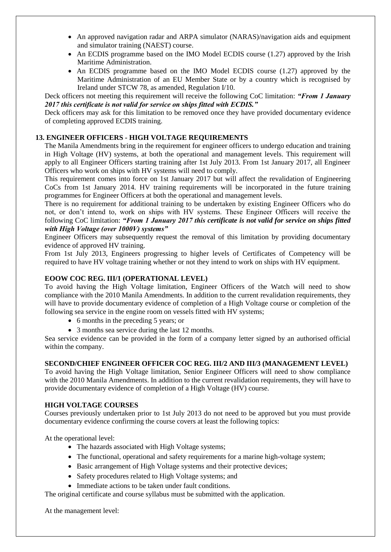- An approved navigation radar and ARPA simulator (NARAS)/navigation aids and equipment and simulator training (NAEST) course.
- An ECDIS programme based on the IMO Model ECDIS course (1.27) approved by the Irish Maritime Administration.
- An ECDIS programme based on the IMO Model ECDIS course (1.27) approved by the Maritime Administration of an EU Member State or by a country which is recognised by Ireland under STCW 78, as amended, Regulation I/10.

Deck officers not meeting this requirement will receive the following CoC limitation: *"From 1 January 2017 this certificate is not valid for service on ships fitted with ECDIS."* 

Deck officers may ask for this limitation to be removed once they have provided documentary evidence of completing approved ECDIS training.

# **13. ENGINEER OFFICERS - HIGH VOLTAGE REQUIREMENTS**

The Manila Amendments bring in the requirement for engineer officers to undergo education and training in High Voltage (HV) systems, at both the operational and management levels. This requirement will apply to all Engineer Officers starting training after 1st July 2013. From 1st January 2017, all Engineer Officers who work on ships with HV systems will need to comply.

This requirement comes into force on 1st January 2017 but will affect the revalidation of Engineering CoCs from 1st January 2014. HV training requirements will be incorporated in the future training programmes for Engineer Officers at both the operational and management levels.

There is no requirement for additional training to be undertaken by existing Engineer Officers who do not, or don't intend to, work on ships with HV systems. These Engineer Officers will receive the following CoC limitation: *"From 1 January 2017 this certificate is not valid for service on ships fitted with High Voltage (over 1000V) systems"* 

Engineer Officers may subsequently request the removal of this limitation by providing documentary evidence of approved HV training.

From 1st July 2013, Engineers progressing to higher levels of Certificates of Competency will be required to have HV voltage training whether or not they intend to work on ships with HV equipment.

# **EOOW COC REG. III/1 (OPERATIONAL LEVEL)**

To avoid having the High Voltage limitation, Engineer Officers of the Watch will need to show compliance with the 2010 Manila Amendments. In addition to the current revalidation requirements, they will have to provide documentary evidence of completion of a High Voltage course or completion of the following sea service in the engine room on vessels fitted with HV systems;

- 6 months in the preceding 5 years; or
- 3 months sea service during the last 12 months.

Sea service evidence can be provided in the form of a company letter signed by an authorised official within the company.

# **SECOND/CHIEF ENGINEER OFFICER COC REG. III/2 AND III/3 (MANAGEMENT LEVEL)**

To avoid having the High Voltage limitation, Senior Engineer Officers will need to show compliance with the 2010 Manila Amendments. In addition to the current revalidation requirements, they will have to provide documentary evidence of completion of a High Voltage (HV) course.

# **HIGH VOLTAGE COURSES**

Courses previously undertaken prior to 1st July 2013 do not need to be approved but you must provide documentary evidence confirming the course covers at least the following topics:

At the operational level:

- The hazards associated with High Voltage systems;
- The functional, operational and safety requirements for a marine high-voltage system;
- Basic arrangement of High Voltage systems and their protective devices;
- Safety procedures related to High Voltage systems; and
- Immediate actions to be taken under fault conditions.

The original certificate and course syllabus must be submitted with the application.

At the management level: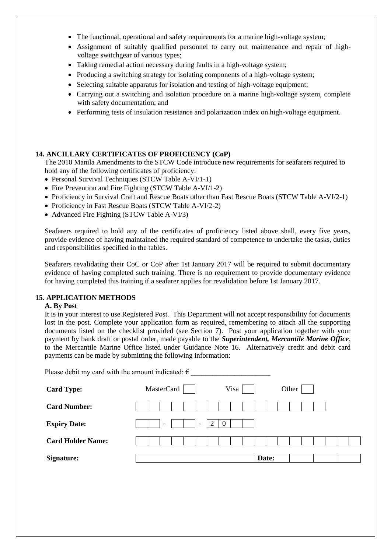- The functional, operational and safety requirements for a marine high-voltage system;
- Assignment of suitably qualified personnel to carry out maintenance and repair of highvoltage switchgear of various types;
- Taking remedial action necessary during faults in a high-voltage system;
- Producing a switching strategy for isolating components of a high-voltage system;
- Selecting suitable apparatus for isolation and testing of high-voltage equipment;
- Carrying out a switching and isolation procedure on a marine high-voltage system, complete with safety documentation; and
- Performing tests of insulation resistance and polarization index on high-voltage equipment.

#### **14. ANCILLARY CERTIFICATES OF PROFICIENCY (CoP)**

The 2010 Manila Amendments to the STCW Code introduce new requirements for seafarers required to hold any of the following certificates of proficiency:

- Personal Survival Techniques (STCW Table A-VI/1-1)
- Fire Prevention and Fire Fighting (STCW Table A-VI/1-2)
- Proficiency in Survival Craft and Rescue Boats other than Fast Rescue Boats (STCW Table A-VI/2-1)
- Proficiency in Fast Rescue Boats (STCW Table A-VI/2-2)
- Advanced Fire Fighting (STCW Table A-VI/3)

Seafarers required to hold any of the certificates of proficiency listed above shall, every five years, provide evidence of having maintained the required standard of competence to undertake the tasks, duties and responsibilities specified in the tables.

Seafarers revalidating their CoC or CoP after 1st January 2017 will be required to submit documentary evidence of having completed such training. There is no requirement to provide documentary evidence for having completed this training if a seafarer applies for revalidation before 1st January 2017.

#### **15. APPLICATION METHODS**

#### **A. By Post**

It is in your interest to use Registered Post. This Department will not accept responsibility for documents lost in the post. Complete your application form as required, remembering to attach all the supporting documents listed on the checklist provided (see Section 7). Post your application together with your payment by bank draft or postal order, made payable to the *Superintendent, Mercantile Marine Office*, to the Mercantile Marine Office listed under Guidance Note 16. Alternatively credit and debit card payments can be made by submitting the following information:

| Please debit my card with the amount indicated: $\epsilon$ |                                                                  |       |
|------------------------------------------------------------|------------------------------------------------------------------|-------|
| <b>Card Type:</b>                                          | MasterCard<br>Visa                                               | Other |
| <b>Card Number:</b>                                        |                                                                  |       |
| <b>Expiry Date:</b>                                        | $\Omega$<br>$\overline{\phantom{a}}$<br>$\overline{\phantom{a}}$ |       |
| <b>Card Holder Name:</b>                                   |                                                                  |       |
| Signature:                                                 | Date:                                                            |       |